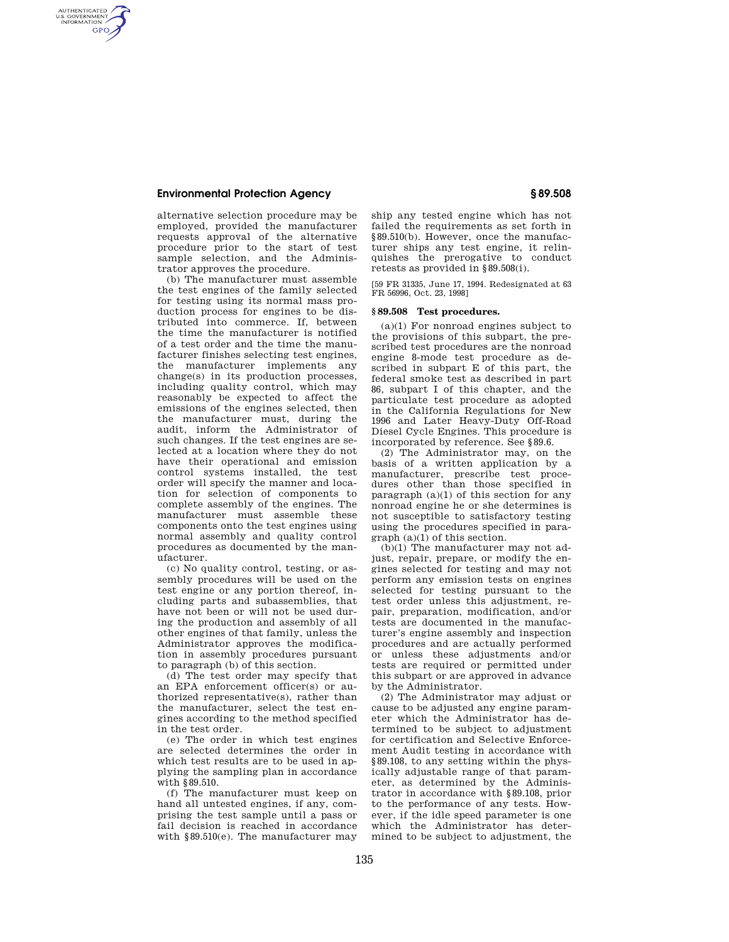## **Environmental Protection Agency § 89.508**

AUTHENTICATED<br>U.S. GOVERNMENT<br>INFORMATION **GPO** 

> alternative selection procedure may be employed, provided the manufacturer requests approval of the alternative procedure prior to the start of test sample selection, and the Administrator approves the procedure.

(b) The manufacturer must assemble the test engines of the family selected for testing using its normal mass production process for engines to be distributed into commerce. If, between the time the manufacturer is notified of a test order and the time the manufacturer finishes selecting test engines, the manufacturer implements any change(s) in its production processes, including quality control, which may reasonably be expected to affect the emissions of the engines selected, then the manufacturer must, during the audit, inform the Administrator of such changes. If the test engines are selected at a location where they do not have their operational and emission control systems installed, the test order will specify the manner and location for selection of components to complete assembly of the engines. The manufacturer must assemble these components onto the test engines using normal assembly and quality control procedures as documented by the manufacturer.

(c) No quality control, testing, or assembly procedures will be used on the test engine or any portion thereof, including parts and subassemblies, that have not been or will not be used during the production and assembly of all other engines of that family, unless the Administrator approves the modification in assembly procedures pursuant to paragraph (b) of this section.

(d) The test order may specify that an EPA enforcement officer(s) or authorized representative(s), rather than the manufacturer, select the test engines according to the method specified in the test order.

(e) The order in which test engines are selected determines the order in which test results are to be used in applying the sampling plan in accordance with §89.510.

(f) The manufacturer must keep on hand all untested engines, if any, comprising the test sample until a pass or fail decision is reached in accordance with §89.510(e). The manufacturer may ship any tested engine which has not failed the requirements as set forth in §89.510(b). However, once the manufacturer ships any test engine, it relinquishes the prerogative to conduct retests as provided in §89.508(i).

[59 FR 31335, June 17, 1994. Redesignated at 63 FR 56996, Oct. 23, 1998]

## **§ 89.508 Test procedures.**

(a)(1) For nonroad engines subject to the provisions of this subpart, the prescribed test procedures are the nonroad engine 8-mode test procedure as described in subpart E of this part, the federal smoke test as described in part 86, subpart I of this chapter, and the particulate test procedure as adopted in the California Regulations for New 1996 and Later Heavy-Duty Off-Road Diesel Cycle Engines. This procedure is incorporated by reference. See §89.6.

(2) The Administrator may, on the basis of a written application by a manufacturer, prescribe test procedures other than those specified in paragraph  $(a)(1)$  of this section for any nonroad engine he or she determines is not susceptible to satisfactory testing using the procedures specified in paragraph (a)(1) of this section.

(b)(1) The manufacturer may not adjust, repair, prepare, or modify the engines selected for testing and may not perform any emission tests on engines selected for testing pursuant to the test order unless this adjustment, repair, preparation, modification, and/or tests are documented in the manufacturer's engine assembly and inspection procedures and are actually performed or unless these adjustments and/or tests are required or permitted under this subpart or are approved in advance by the Administrator.

(2) The Administrator may adjust or cause to be adjusted any engine parameter which the Administrator has determined to be subject to adjustment for certification and Selective Enforcement Audit testing in accordance with §89.108, to any setting within the physically adjustable range of that parameter, as determined by the Administrator in accordance with §89.108, prior to the performance of any tests. However, if the idle speed parameter is one which the Administrator has determined to be subject to adjustment, the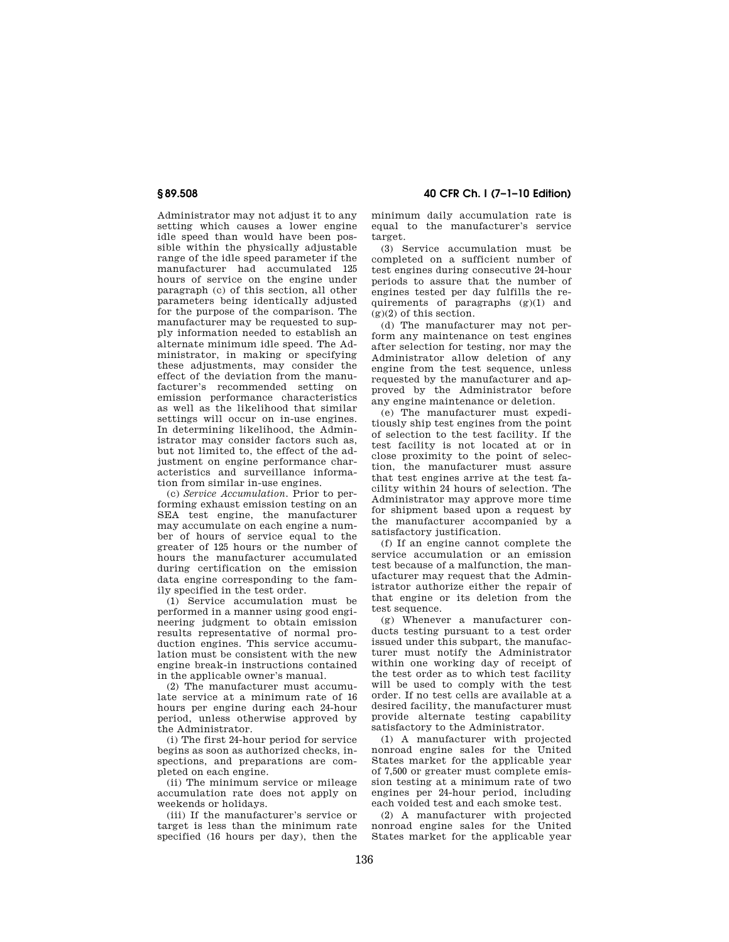Administrator may not adjust it to any setting which causes a lower engine idle speed than would have been possible within the physically adjustable range of the idle speed parameter if the manufacturer had accumulated 125 hours of service on the engine under paragraph (c) of this section, all other parameters being identically adjusted for the purpose of the comparison. The manufacturer may be requested to supply information needed to establish an alternate minimum idle speed. The Administrator, in making or specifying these adjustments, may consider the effect of the deviation from the manufacturer's recommended setting on emission performance characteristics as well as the likelihood that similar settings will occur on in-use engines. In determining likelihood, the Administrator may consider factors such as, but not limited to, the effect of the adjustment on engine performance characteristics and surveillance information from similar in-use engines.

(c) *Service Accumulation.* Prior to performing exhaust emission testing on an SEA test engine, the manufacturer may accumulate on each engine a number of hours of service equal to the greater of 125 hours or the number of hours the manufacturer accumulated during certification on the emission data engine corresponding to the family specified in the test order.

(1) Service accumulation must be performed in a manner using good engineering judgment to obtain emission results representative of normal production engines. This service accumulation must be consistent with the new engine break-in instructions contained in the applicable owner's manual.

(2) The manufacturer must accumulate service at a minimum rate of 16 hours per engine during each 24-hour period, unless otherwise approved by the Administrator.

(i) The first 24-hour period for service begins as soon as authorized checks, inspections, and preparations are completed on each engine.

(ii) The minimum service or mileage accumulation rate does not apply on weekends or holidays.

(iii) If the manufacturer's service or target is less than the minimum rate specified (16 hours per day), then the

**§ 89.508 40 CFR Ch. I (7–1–10 Edition)** 

minimum daily accumulation rate is equal to the manufacturer's service target.

(3) Service accumulation must be completed on a sufficient number of test engines during consecutive 24-hour periods to assure that the number of engines tested per day fulfills the requirements of paragraphs (g)(1) and  $(g)(2)$  of this section.

(d) The manufacturer may not perform any maintenance on test engines after selection for testing, nor may the Administrator allow deletion of any engine from the test sequence, unless requested by the manufacturer and approved by the Administrator before any engine maintenance or deletion.

(e) The manufacturer must expeditiously ship test engines from the point of selection to the test facility. If the test facility is not located at or in close proximity to the point of selection, the manufacturer must assure that test engines arrive at the test facility within 24 hours of selection. The Administrator may approve more time for shipment based upon a request by the manufacturer accompanied by a satisfactory justification.

(f) If an engine cannot complete the service accumulation or an emission test because of a malfunction, the manufacturer may request that the Administrator authorize either the repair of that engine or its deletion from the test sequence.

(g) Whenever a manufacturer conducts testing pursuant to a test order issued under this subpart, the manufacturer must notify the Administrator within one working day of receipt of the test order as to which test facility will be used to comply with the test order. If no test cells are available at a desired facility, the manufacturer must provide alternate testing capability satisfactory to the Administrator.

(1) A manufacturer with projected nonroad engine sales for the United States market for the applicable year of 7,500 or greater must complete emission testing at a minimum rate of two engines per 24-hour period, including each voided test and each smoke test.

(2) A manufacturer with projected nonroad engine sales for the United States market for the applicable year